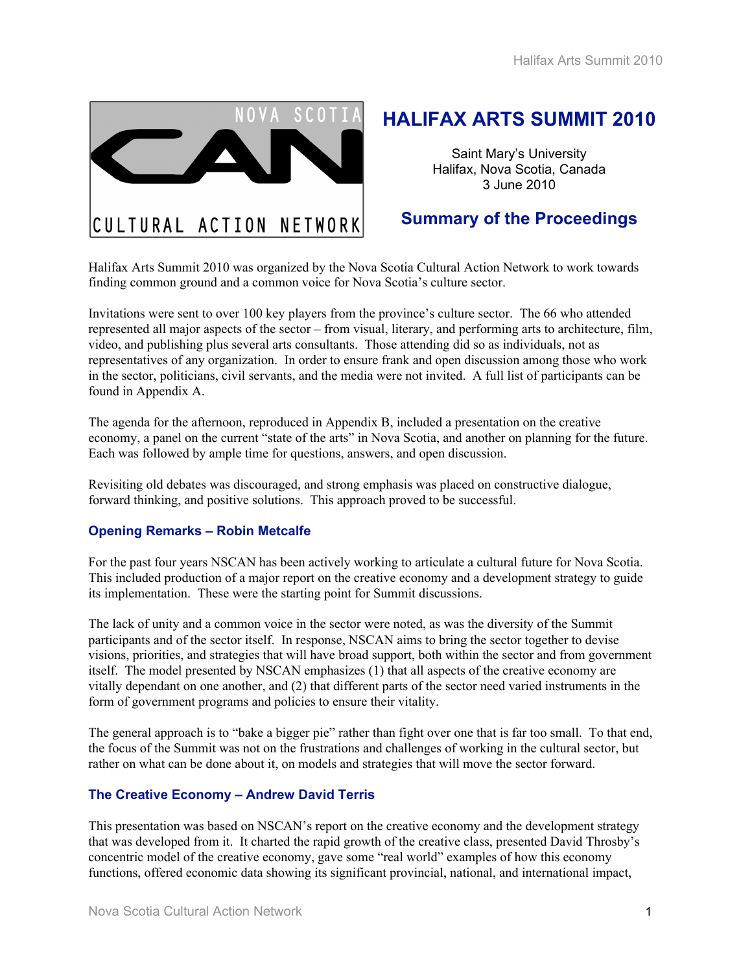Halifax Arts Summit 2010



# **HALIFAX ARTS SUMMIT 2010**

Saint Mary's University Halifax, Nova Scotia, Canada 3 June 2010

## **Summary of the Proceedings**

Halifax Arts Summit 2010 was organized by the Nova Scotia Cultural Action Network to work towards finding common ground and a common voice for Nova Scotia's culture sector.

Invitations were sent to over 100 key players from the province's culture sector. The 66 who attended represented all major aspects of the sector – from visual, literary, and performing arts to architecture, film, video, and publishing plus several arts consultants. Those attending did so as individuals, not as representatives of any organization. In order to ensure frank and open discussion among those who work in the sector, politicians, civil servants, and the media were not invited. A full list of participants can be found in Appendix A.

The agenda for the afternoon, reproduced in Appendix B, included a presentation on the creative economy, a panel on the current "state of the arts" in Nova Scotia, and another on planning for the future. Each was followed by ample time for questions, answers, and open discussion.

Revisiting old debates was discouraged, and strong emphasis was placed on constructive dialogue, forward thinking, and positive solutions. This approach proved to be successful.

## **Opening Remarks – Robin Metcalfe**

For the past four years NSCAN has been actively working to articulate a cultural future for Nova Scotia. This included production of a major report on the creative economy and a development strategy to guide its implementation. These were the starting point for Summit discussions.

The lack of unity and a common voice in the sector were noted, as was the diversity of the Summit participants and of the sector itself. In response, NSCAN aims to bring the sector together to devise visions, priorities, and strategies that will have broad support, both within the sector and from government itself. The model presented by NSCAN emphasizes (1) that all aspects of the creative economy are vitally dependant on one another, and (2) that different parts of the sector need varied instruments in the form of government programs and policies to ensure their vitality.

The general approach is to "bake a bigger pie" rather than fight over one that is far too small. To that end, the focus of the Summit was not on the frustrations and challenges of working in the cultural sector, but rather on what can be done about it, on models and strategies that will move the sector forward.

#### **The Creative Economy – Andrew David Terris**

This presentation was based on NSCAN's report on the creative economy and the development strategy that was developed from it. It charted the rapid growth of the creative class, presented David Throsby's concentric model of the creative economy, gave some "real world" examples of how this economy functions, offered economic data showing its significant provincial, national, and international impact,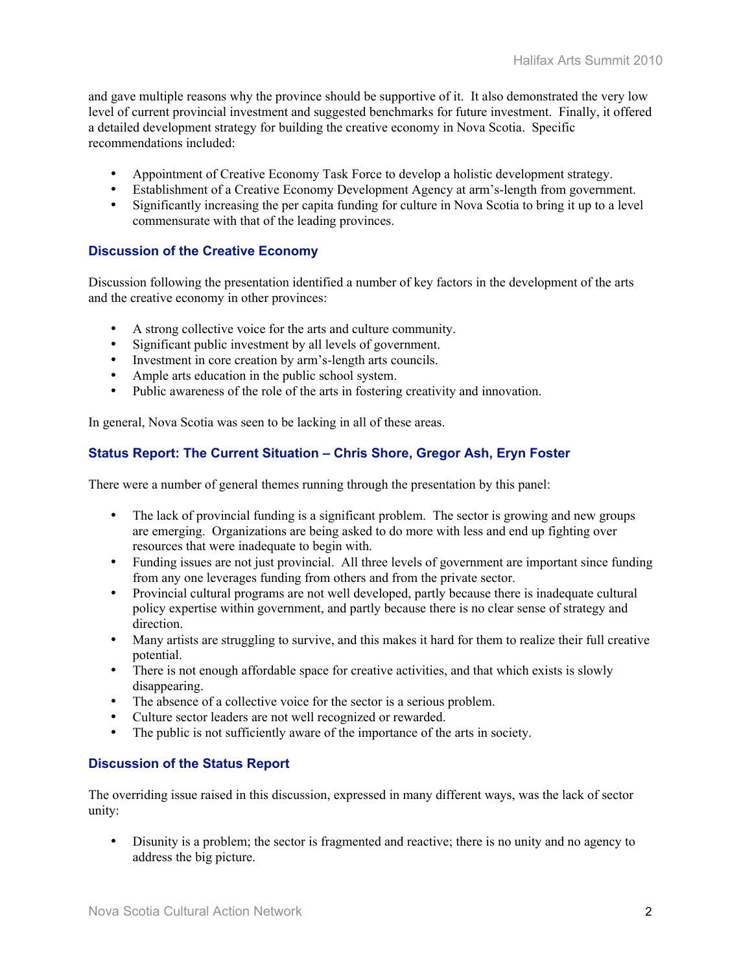and gave multiple reasons why the province should be supportive of it. It also demonstrated the very low level of current provincial investment and suggested benchmarks for future investment. Finally, it offered a detailed development strategy for building the creative economy in Nova Scotia. Specific recommendations included:

- Appointment of Creative Economy Task Force to develop a holistic development strategy.
- Establishment of a Creative Economy Development Agency at arm's-length from government.
- Significantly increasing the per capita funding for culture in Nova Scotia to bring it up to a level commensurate with that of the leading provinces.

## **Discussion of the Creative Economy**

Discussion following the presentation identified a number of key factors in the development of the arts and the creative economy in other provinces:

- A strong collective voice for the arts and culture community.
- Significant public investment by all levels of government.
- Investment in core creation by arm's-length arts councils.
- Ample arts education in the public school system.
- Public awareness of the role of the arts in fostering creativity and innovation.

In general, Nova Scotia was seen to be lacking in all of these areas.

## **Status Report: The Current Situation – Chris Shore, Gregor Ash, Eryn Foster**

There were a number of general themes running through the presentation by this panel:

- The lack of provincial funding is a significant problem. The sector is growing and new groups are emerging. Organizations are being asked to do more with less and end up fighting over resources that were inadequate to begin with.
- Funding issues are not just provincial. All three levels of government are important since funding from any one leverages funding from others and from the private sector.
- Provincial cultural programs are not well developed, partly because there is inadequate cultural policy expertise within government, and partly because there is no clear sense of strategy and direction.
- Many artists are struggling to survive, and this makes it hard for them to realize their full creative potential.
- There is not enough affordable space for creative activities, and that which exists is slowly disappearing.
- The absence of a collective voice for the sector is a serious problem.
- Culture sector leaders are not well recognized or rewarded.
- The public is not sufficiently aware of the importance of the arts in society.

## **Discussion of the Status Report**

The overriding issue raised in this discussion, expressed in many different ways, was the lack of sector unity:

• Disunity is a problem; the sector is fragmented and reactive; there is no unity and no agency to address the big picture.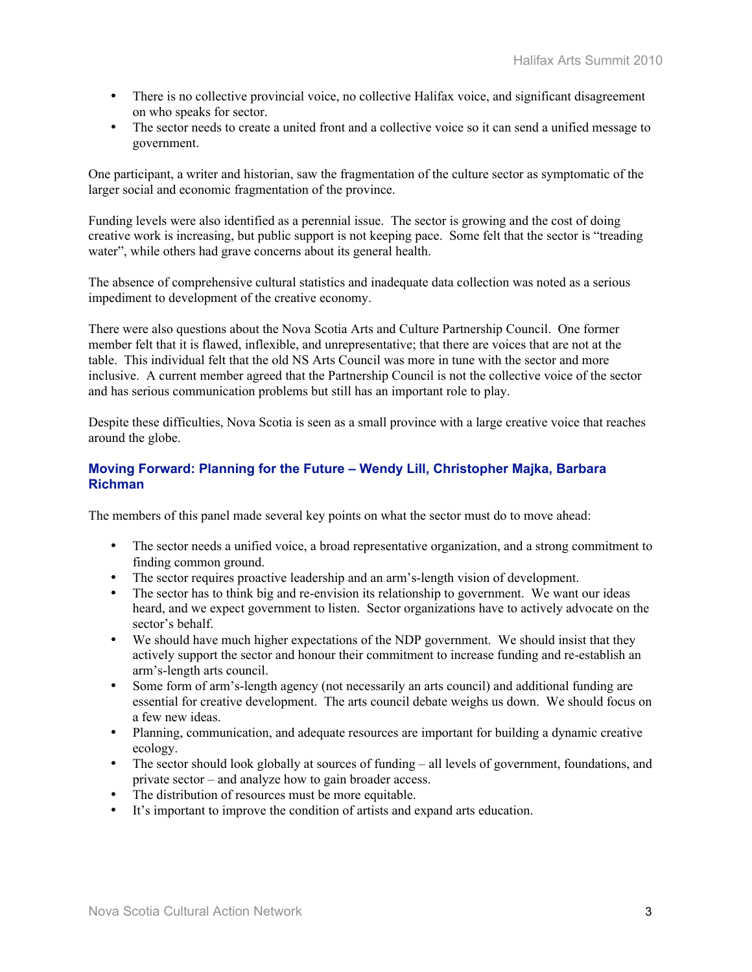- There is no collective provincial voice, no collective Halifax voice, and significant disagreement on who speaks for sector.
- The sector needs to create a united front and a collective voice so it can send a unified message to government.

One participant, a writer and historian, saw the fragmentation of the culture sector as symptomatic of the larger social and economic fragmentation of the province.

Funding levels were also identified as a perennial issue. The sector is growing and the cost of doing creative work is increasing, but public support is not keeping pace. Some felt that the sector is "treading water", while others had grave concerns about its general health.

The absence of comprehensive cultural statistics and inadequate data collection was noted as a serious impediment to development of the creative economy.

There were also questions about the Nova Scotia Arts and Culture Partnership Council. One former member felt that it is flawed, inflexible, and unrepresentative; that there are voices that are not at the table. This individual felt that the old NS Arts Council was more in tune with the sector and more inclusive. A current member agreed that the Partnership Council is not the collective voice of the sector and has serious communication problems but still has an important role to play.

Despite these difficulties, Nova Scotia is seen as a small province with a large creative voice that reaches around the globe.

## **Moving Forward: Planning for the Future – Wendy Lill, Christopher Majka, Barbara Richman**

The members of this panel made several key points on what the sector must do to move ahead:

- The sector needs a unified voice, a broad representative organization, and a strong commitment to finding common ground.
- The sector requires proactive leadership and an arm's-length vision of development.
- The sector has to think big and re-envision its relationship to government. We want our ideas heard, and we expect government to listen. Sector organizations have to actively advocate on the sector's behalf.
- We should have much higher expectations of the NDP government. We should insist that they actively support the sector and honour their commitment to increase funding and re-establish an arm's-length arts council.
- Some form of arm's-length agency (not necessarily an arts council) and additional funding are essential for creative development. The arts council debate weighs us down. We should focus on a few new ideas.
- Planning, communication, and adequate resources are important for building a dynamic creative ecology.
- The sector should look globally at sources of funding all levels of government, foundations, and private sector – and analyze how to gain broader access.
- The distribution of resources must be more equitable.
- It's important to improve the condition of artists and expand arts education.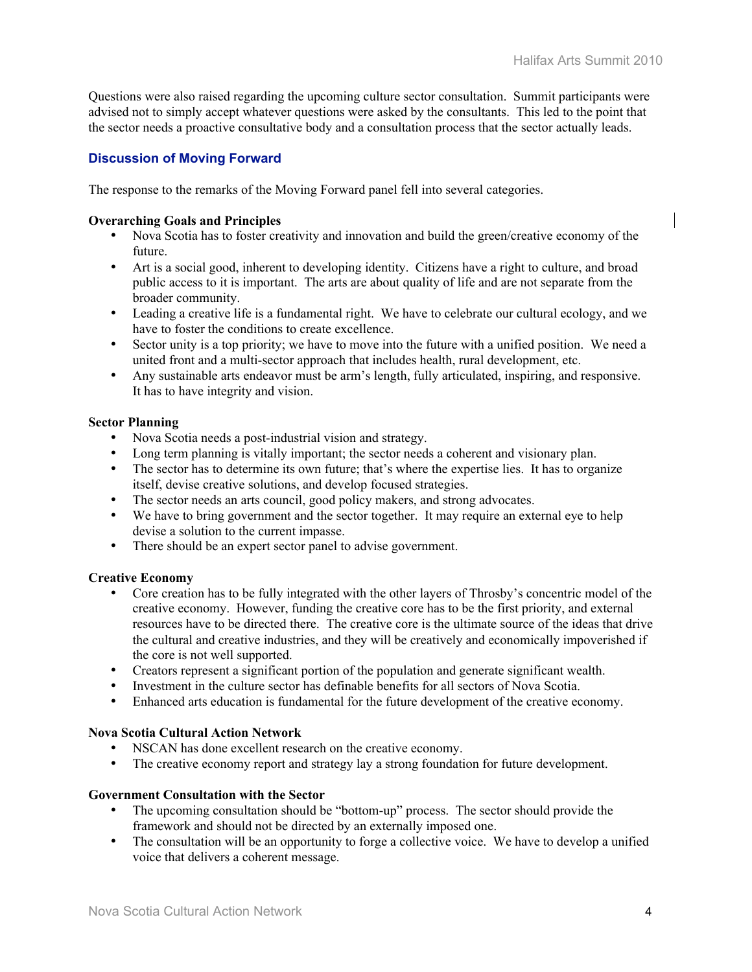Questions were also raised regarding the upcoming culture sector consultation. Summit participants were advised not to simply accept whatever questions were asked by the consultants. This led to the point that the sector needs a proactive consultative body and a consultation process that the sector actually leads.

## **Discussion of Moving Forward**

The response to the remarks of the Moving Forward panel fell into several categories.

### Overarching Goals and Principles

- Nova Scotia has to foster creativity and innovation and build the green/creative economy of the future.
- Art is a social good, inherent to developing identity. Citizens have a right to culture, and broad public access to it is important. The arts are about quality of life and are not separate from the broader community.
- Leading a creative life is a fundamental right. We have to celebrate our cultural ecology, and we have to foster the conditions to create excellence.
- Sector unity is a top priority; we have to move into the future with a unified position. We need a united front and a multi-sector approach that includes health, rural development, etc.
- Any sustainable arts endeavor must be arm's length, fully articulated, inspiring, and responsive. It has to have integrity and vision.

### Sector Planning

- Nova Scotia needs a post-industrial vision and strategy.
- Long term planning is vitally important; the sector needs a coherent and visionary plan.
- The sector has to determine its own future; that's where the expertise lies. It has to organize itself, devise creative solutions, and develop focused strategies.
- The sector needs an arts council, good policy makers, and strong advocates.
- We have to bring government and the sector together. It may require an external eye to help devise a solution to the current impasse.
- There should be an expert sector panel to advise government.

## Creative Economy

- Core creation has to be fully integrated with the other layers of Throsby's concentric model of the creative economy. However, funding the creative core has to be the first priority, and external resources have to be directed there. The creative core is the ultimate source of the ideas that drive the cultural and creative industries, and they will be creatively and economically impoverished if the core is not well supported.
- Creators represent a significant portion of the population and generate significant wealth.
- Investment in the culture sector has definable benefits for all sectors of Nova Scotia.<br>• Enhanced arts education is fundamental for the future development of the creative ec
- Enhanced arts education is fundamental for the future development of the creative economy.

#### Nova Scotia Cultural Action Network

- NSCAN has done excellent research on the creative economy.
- The creative economy report and strategy lay a strong foundation for future development.

#### Government Consultation with the Sector

- The upcoming consultation should be "bottom-up" process. The sector should provide the framework and should not be directed by an externally imposed one.
- The consultation will be an opportunity to forge a collective voice. We have to develop a unified voice that delivers a coherent message.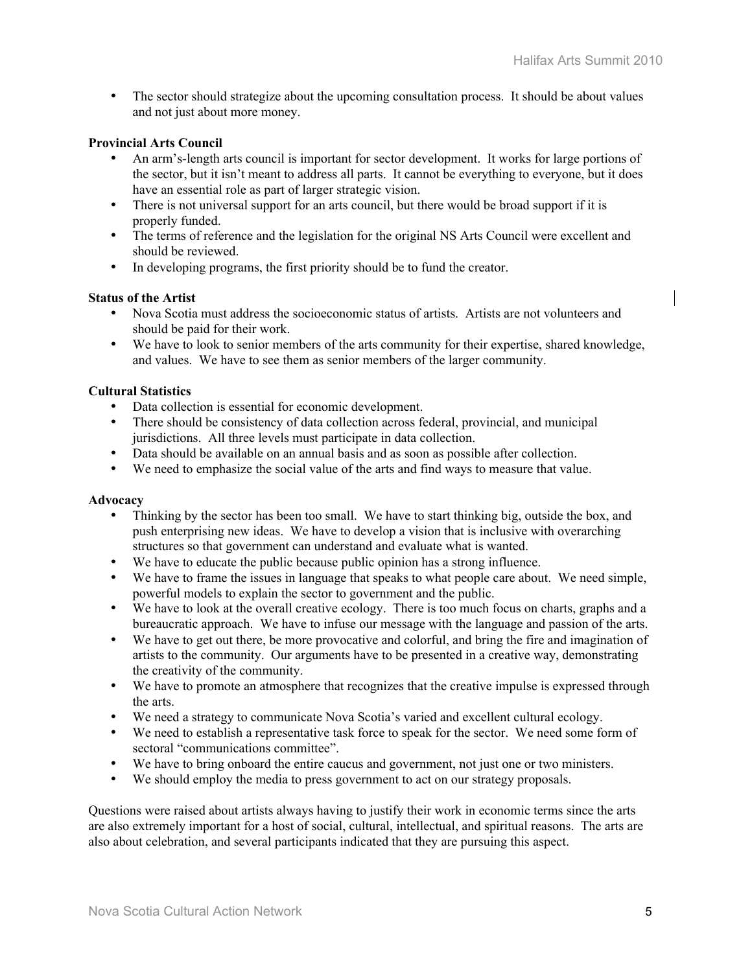• The sector should strategize about the upcoming consultation process. It should be about values and not just about more money.

## Provincial Arts Council

- An arm's-length arts council is important for sector development. It works for large portions of the sector, but it isn't meant to address all parts. It cannot be everything to everyone, but it does have an essential role as part of larger strategic vision.
- There is not universal support for an arts council, but there would be broad support if it is properly funded.
- The terms of reference and the legislation for the original NS Arts Council were excellent and should be reviewed.
- In developing programs, the first priority should be to fund the creator.

### Status of the Artist

- Nova Scotia must address the socioeconomic status of artists. Artists are not volunteers and should be paid for their work.
- We have to look to senior members of the arts community for their expertise, shared knowledge, and values. We have to see them as senior members of the larger community.

### Cultural Statistics

- Data collection is essential for economic development.
- There should be consistency of data collection across federal, provincial, and municipal jurisdictions. All three levels must participate in data collection.
- Data should be available on an annual basis and as soon as possible after collection.
- We need to emphasize the social value of the arts and find ways to measure that value.

#### Advocacy

- Thinking by the sector has been too small. We have to start thinking big, outside the box, and push enterprising new ideas. We have to develop a vision that is inclusive with overarching structures so that government can understand and evaluate what is wanted.
- We have to educate the public because public opinion has a strong influence.
- We have to frame the issues in language that speaks to what people care about. We need simple, powerful models to explain the sector to government and the public.
- We have to look at the overall creative ecology. There is too much focus on charts, graphs and a bureaucratic approach. We have to infuse our message with the language and passion of the arts.
- We have to get out there, be more provocative and colorful, and bring the fire and imagination of artists to the community. Our arguments have to be presented in a creative way, demonstrating the creativity of the community.
- We have to promote an atmosphere that recognizes that the creative impulse is expressed through the arts.
- We need a strategy to communicate Nova Scotia's varied and excellent cultural ecology.
- We need to establish a representative task force to speak for the sector. We need some form of sectoral "communications committee".
- We have to bring onboard the entire caucus and government, not just one or two ministers.
- We should employ the media to press government to act on our strategy proposals.

Questions were raised about artists always having to justify their work in economic terms since the arts are also extremely important for a host of social, cultural, intellectual, and spiritual reasons. The arts are also about celebration, and several participants indicated that they are pursuing this aspect.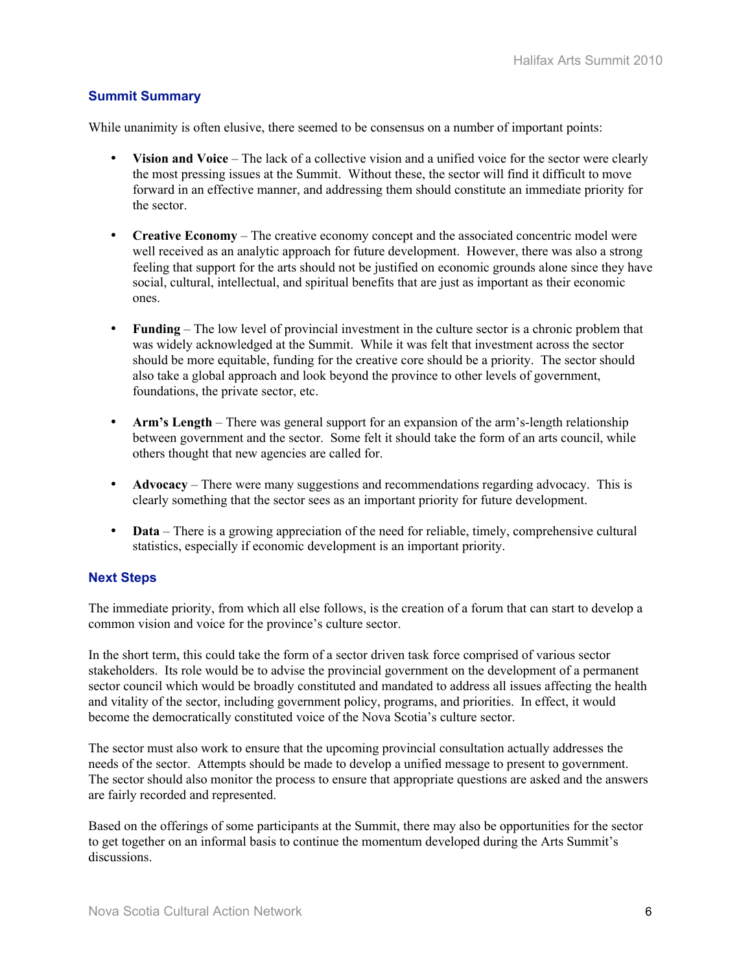## **Summit Summary**

While unanimity is often elusive, there seemed to be consensus on a number of important points:

- Vision and Voice The lack of a collective vision and a unified voice for the sector were clearly the most pressing issues at the Summit. Without these, the sector will find it difficult to move forward in an effective manner, and addressing them should constitute an immediate priority for the sector.
- Creative Economy The creative economy concept and the associated concentric model were well received as an analytic approach for future development. However, there was also a strong feeling that support for the arts should not be justified on economic grounds alone since they have social, cultural, intellectual, and spiritual benefits that are just as important as their economic ones.
- Funding The low level of provincial investment in the culture sector is a chronic problem that was widely acknowledged at the Summit. While it was felt that investment across the sector should be more equitable, funding for the creative core should be a priority. The sector should also take a global approach and look beyond the province to other levels of government, foundations, the private sector, etc.
- Arm's Length There was general support for an expansion of the arm's-length relationship between government and the sector. Some felt it should take the form of an arts council, while others thought that new agencies are called for.
- Advocacy There were many suggestions and recommendations regarding advocacy. This is clearly something that the sector sees as an important priority for future development.
- Data There is a growing appreciation of the need for reliable, timely, comprehensive cultural statistics, especially if economic development is an important priority.

## **Next Steps**

The immediate priority, from which all else follows, is the creation of a forum that can start to develop a common vision and voice for the province's culture sector.

In the short term, this could take the form of a sector driven task force comprised of various sector stakeholders. Its role would be to advise the provincial government on the development of a permanent sector council which would be broadly constituted and mandated to address all issues affecting the health and vitality of the sector, including government policy, programs, and priorities. In effect, it would become the democratically constituted voice of the Nova Scotia's culture sector.

The sector must also work to ensure that the upcoming provincial consultation actually addresses the needs of the sector. Attempts should be made to develop a unified message to present to government. The sector should also monitor the process to ensure that appropriate questions are asked and the answers are fairly recorded and represented.

Based on the offerings of some participants at the Summit, there may also be opportunities for the sector to get together on an informal basis to continue the momentum developed during the Arts Summit's discussions.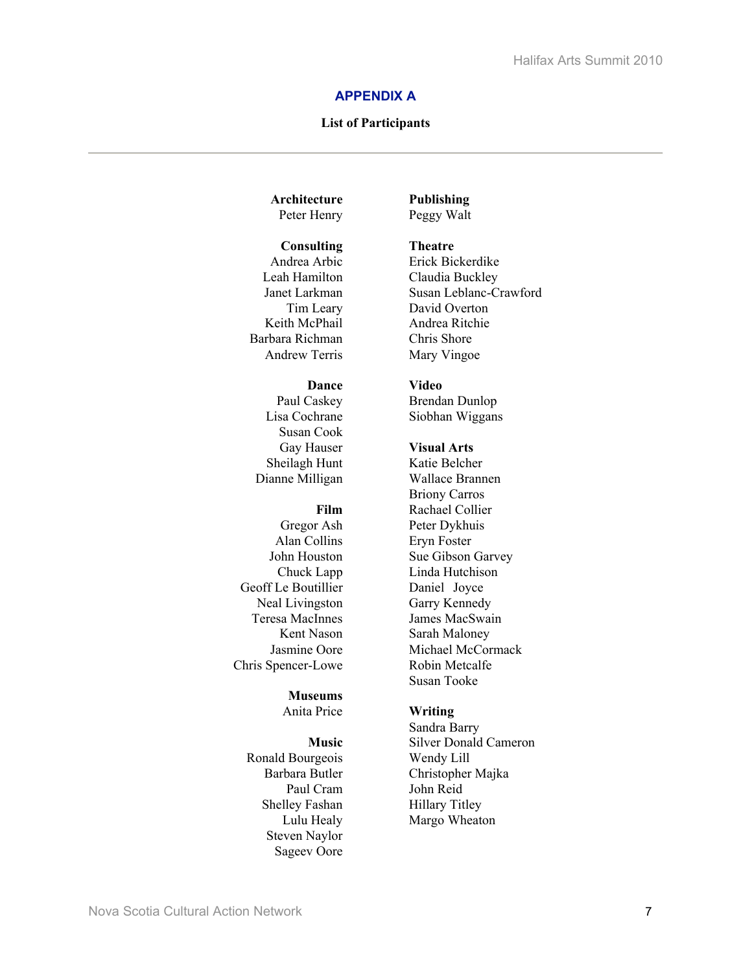#### **APPENDIX A**

#### List of Participants

#### Architecture Peter Henry

#### **Consulting**

Andrea Arbic Leah Hamilton Janet Larkman Tim Leary Keith McPhail Barbara Richman Andrew Terris

#### Dance

Paul Caskey Lisa Cochrane Susan Cook Gay Hauser Sheilagh Hunt Dianne Milligan

#### Film

Gregor Ash Alan Collins John Houston Chuck Lapp Geoff Le Boutillier Neal Livingston Teresa MacInnes Kent Nason Jasmine Oore Chris Spencer-Lowe

## Museums

Anita Price

#### Music

Ronald Bourgeois Barbara Butler Paul Cram Shelley Fashan Lulu Healy Steven Naylor Sageev Oore

Publishing Peggy Walt

#### Theatre

Erick Bickerdike Claudia Buckley Susan Leblanc-Crawford David Overton Andrea Ritchie Chris Shore Mary Vingoe

#### Video

Brendan Dunlop Siobhan Wiggans

#### Visual Arts

Katie Belcher Wallace Brannen Briony Carros Rachael Collier Peter Dykhuis Eryn Foster Sue Gibson Garvey Linda Hutchison Daniel Joyce Garry Kennedy James MacSwain Sarah Maloney Michael McCormack Robin Metcalfe Susan Tooke

#### Writing

Sandra Barry Silver Donald Cameron Wendy Lill Christopher Majka John Reid Hillary Titley Margo Wheaton